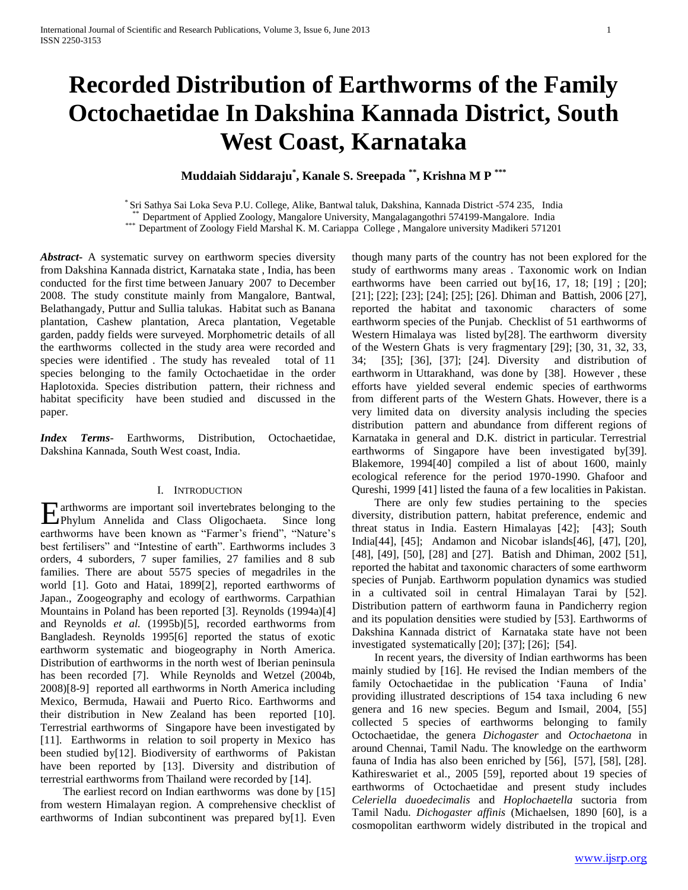# **Recorded Distribution of Earthworms of the Family Octochaetidae In Dakshina Kannada District, South West Coast, Karnataka**

**Muddaiah Siddaraju\* , Kanale S. Sreepada \*\* , Krishna M P \*\*\***

\* Sri Sathya Sai Loka Seva P.U. College, Alike, Bantwal taluk, Dakshina, Kannada District -574 235, India \*\* Department of Applied Zoology, Mangalore University, Mangalagangothri 574199-Mangalore. India

\*\*\* Department of Zoology Field Marshal K. M. Cariappa College , Mangalore university Madikeri 571201

*Abstract***-** A systematic survey on earthworm species diversity from Dakshina Kannada district, Karnataka state , India, has been conducted for the first time between January 2007 to December 2008. The study constitute mainly from Mangalore, Bantwal, Belathangady, Puttur and Sullia talukas. Habitat such as Banana plantation, Cashew plantation, Areca plantation, Vegetable garden, paddy fields were surveyed. Morphometric details of all the earthworms collected in the study area were recorded and species were identified . The study has revealed total of 11 species belonging to the family Octochaetidae in the order Haplotoxida. Species distribution pattern, their richness and habitat specificity have been studied and discussed in the paper.

*Index Terms*- Earthworms, Distribution, Octochaetidae, Dakshina Kannada, South West coast, India.

# I. INTRODUCTION

arthworms are important soil invertebrates belonging to the Earthworms are important soil invertebrates belonging to the Phylum Annelida and Class Oligochaeta. Since long earthworms have been known as "Farmer's friend", "Nature's best fertilisers" and "Intestine of earth". Earthworms includes 3 orders, 4 suborders, 7 super families, 27 families and 8 sub families. There are about 5575 species of megadriles in the world [1]. Goto and Hatai, 1899[2], reported earthworms of Japan., Zoogeography and ecology of earthworms. Carpathian Mountains in Poland has been reported [3]. Reynolds (1994a)[4] and Reynolds *et al.* (1995b)[5], recorded earthworms from Bangladesh. Reynolds 1995[6] reported the status of exotic earthworm systematic and biogeography in North America. Distribution of earthworms in the north west of Iberian peninsula has been recorded [7]. While Reynolds and Wetzel (2004b, 2008)[8-9] reported all earthworms in North America including Mexico, Bermuda, Hawaii and Puerto Rico. Earthworms and their distribution in New Zealand has been reported [10]. Terrestrial earthworms of Singapore have been investigated by [11]. Earthworms in relation to soil property in Mexico has been studied by[12]. Biodiversity of earthworms of Pakistan have been reported by [13]. Diversity and distribution of terrestrial earthworms from Thailand were recorded by [14].

 The earliest record on Indian earthworms was done by [15] from western Himalayan region. A comprehensive checklist of earthworms of Indian subcontinent was prepared by[1]. Even

though many parts of the country has not been explored for the study of earthworms many areas . Taxonomic work on Indian earthworms have been carried out by[16, 17, 18; [19]; [20]; [21]; [22]; [23]; [24]; [25]; [26]. Dhiman and Battish, 2006 [27], reported the habitat and taxonomic characters of some earthworm species of the Punjab. Checklist of 51 earthworms of Western Himalaya was listed by[28]. The earthworm diversity of the Western Ghats is very fragmentary [29]; [30, 31, 32, 33, 34; [35]; [36], [37]; [24]. Diversity and distribution of earthworm in Uttarakhand, was done by [38]. However , these efforts have yielded several endemic species of earthworms from different parts of the Western Ghats. However, there is a very limited data on diversity analysis including the species distribution pattern and abundance from different regions of Karnataka in general and D.K. district in particular. Terrestrial earthworms of Singapore have been investigated by[39]. Blakemore, 1994[40] compiled a list of about 1600, mainly ecological reference for the period 1970-1990. Ghafoor and Qureshi, 1999 [41] listed the fauna of a few localities in Pakistan.

 There are only few studies pertaining to the species diversity, distribution pattern, habitat preference, endemic and threat status in India. Eastern Himalayas [42]; [43]; South India[44], [45]; Andamon and Nicobar islands[46], [47], [20], [48], [49], [50], [28] and [27]. Batish and Dhiman, 2002 [51], reported the habitat and taxonomic characters of some earthworm species of Punjab. Earthworm population dynamics was studied in a cultivated soil in central Himalayan Tarai by [52]. Distribution pattern of earthworm fauna in Pandicherry region and its population densities were studied by [53]. Earthworms of Dakshina Kannada district of Karnataka state have not been investigated systematically [20]; [37]; [26]; [54].

 In recent years, the diversity of Indian earthworms has been mainly studied by [16]. He revised the Indian members of the family Octochaetidae in the publication 'Fauna of India' providing illustrated descriptions of 154 taxa including 6 new genera and 16 new species. Begum and Ismail, 2004, [55] collected 5 species of earthworms belonging to family Octochaetidae, the genera *Dichogaster* and *Octochaetona* in around Chennai, Tamil Nadu. The knowledge on the earthworm fauna of India has also been enriched by [56], [57], [58], [28]. Kathireswariet et al., 2005 [59], reported about 19 species of earthworms of Octochaetidae and present study includes *Celeriella duoedecimalis* and *Hoplochaetella* suctoria from Tamil Nadu. *Dichogaster affinis* (Michaelsen, 1890 [60], is a cosmopolitan earthworm widely distributed in the tropical and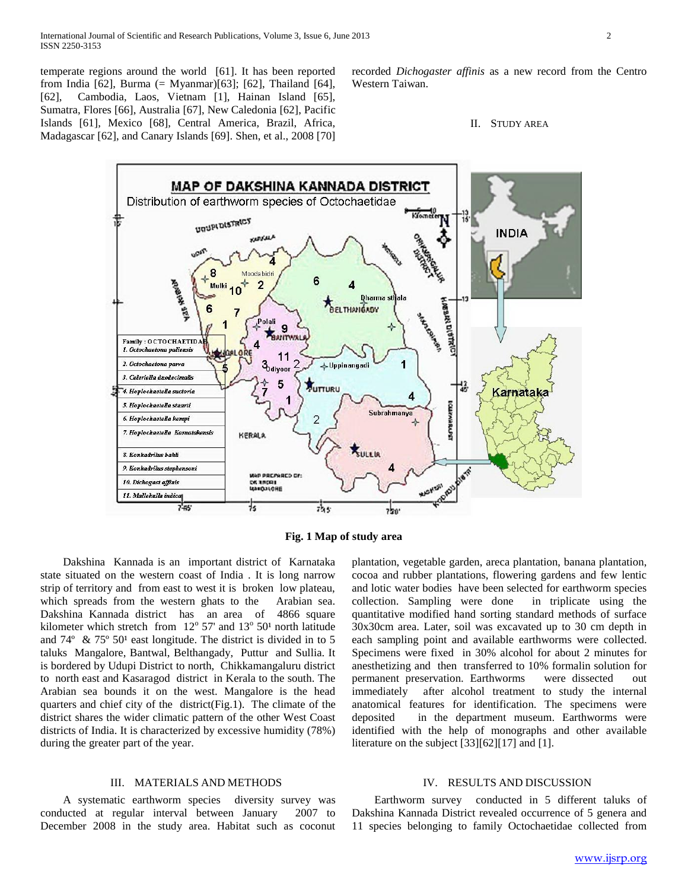temperate regions around the world [61]. It has been reported from India [62], Burma (= Myanmar)[63]; [62], Thailand [64], [62], Cambodia, Laos, Vietnam [1], Hainan Island [65], Sumatra, Flores [66], Australia [67], New Caledonia [62], Pacific Islands [61], Mexico [68], Central America, Brazil, Africa, Madagascar [62], and Canary Islands [69]. Shen, et al., 2008 [70]

recorded *Dichogaster affinis* as a new record from the Centro Western Taiwan.

II. STUDY AREA



**Fig. 1 Map of study area**

 Dakshina Kannada is an important district of Karnataka state situated on the western coast of India . It is long narrow strip of territory and from east to west it is broken low plateau, which spreads from the western ghats to the Arabian sea. Dakshina Kannada district has an area of 4866 square kilometer which stretch from  $12^{\circ}$  57' and  $13^{\circ}$  50<sup>1</sup> north latitude and  $74^{\circ}$  &  $75^{\circ}$  50<sup>1</sup> east longitude. The district is divided in to 5 taluks Mangalore, Bantwal, Belthangady, Puttur and Sullia. It is bordered by Udupi District to north, Chikkamangaluru district to north east and Kasaragod district in Kerala to the south. The Arabian sea bounds it on the west. Mangalore is the head quarters and chief city of the district(Fig.1). The climate of the district shares the wider climatic pattern of the other West Coast districts of India. It is characterized by excessive humidity (78%) during the greater part of the year.

#### III. MATERIALS AND METHODS

 A systematic earthworm species diversity survey was conducted at regular interval between January 2007 to December 2008 in the study area. Habitat such as coconut

plantation, vegetable garden, areca plantation, banana plantation, cocoa and rubber plantations, flowering gardens and few lentic and lotic water bodies have been selected for earthworm species collection. Sampling were done in triplicate using the quantitative modified hand sorting standard methods of surface 30x30cm area. Later, soil was excavated up to 30 cm depth in each sampling point and available earthworms were collected. Specimens were fixed in 30% alcohol for about 2 minutes for anesthetizing and then transferred to 10% formalin solution for permanent preservation. Earthworms were dissected out immediately after alcohol treatment to study the internal anatomical features for identification. The specimens were deposited in the department museum. Earthworms were identified with the help of monographs and other available literature on the subject [33][62][17] and [1].

#### IV. RESULTS AND DISCUSSION

 Earthworm survey conducted in 5 different taluks of Dakshina Kannada District revealed occurrence of 5 genera and 11 species belonging to family Octochaetidae collected from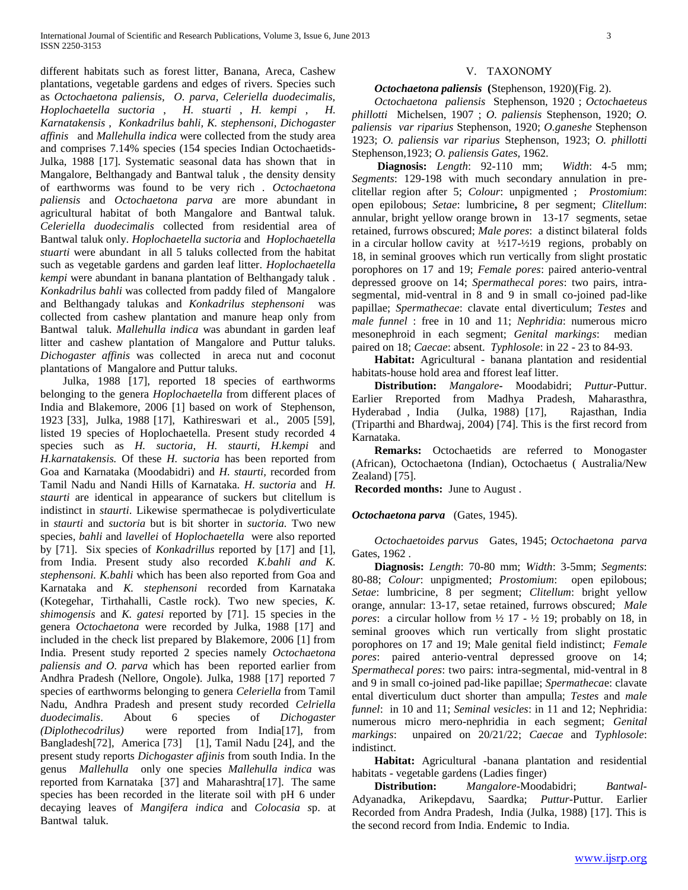different habitats such as forest litter, Banana, Areca, Cashew plantations, vegetable gardens and edges of rivers. Species such as *Octochaetona paliensis, O. parva, Celeriella duodecimalis, Hoplochaetella suctoria* , *H. stuarti* , *H. kempi* , *H. Karnatakensis* , *Konkadrilus bahli, K. stephensoni, Dichogaster affinis* and *Mallehulla indica* were collected from the study area and comprises 7.14% species (154 species Indian Octochaetids-Julka, 1988 [17]. Systematic seasonal data has shown that in Mangalore, Belthangady and Bantwal taluk , the density density of earthworms was found to be very rich . *Octochaetona paliensis* and *Octochaetona parva* are more abundant in agricultural habitat of both Mangalore and Bantwal taluk. *Celeriella duodecimalis* collected from residential area of Bantwal taluk only. *Hoplochaetella suctoria* and *Hoplochaetella stuarti* were abundant in all 5 taluks collected from the habitat such as vegetable gardens and garden leaf litter. *Hoplochaetella kempi* were abundant in banana plantation of Belthangady taluk . *Konkadrilus bahli* was collected from paddy filed of Mangalore and Belthangady talukas and *Konkadrilus stephensoni* was collected from cashew plantation and manure heap only from Bantwal taluk. *Mallehulla indica* was abundant in garden leaf litter and cashew plantation of Mangalore and Puttur taluks. *Dichogaster affinis* was collected in areca nut and coconut plantations of Mangalore and Puttur taluks.

 Julka, 1988 [17], reported 18 species of earthworms belonging to the genera *Hoplochaetella* from different places of India and Blakemore, 2006 [1] based on work of Stephenson, 1923 [33], Julka, 1988 [17], Kathireswari et al., 2005 [59], listed 19 species of Hoplochaetella. Present study recorded 4 species such as *H. suctoria, H. staurti, H.kempi* and *H.karnatakensis.* Of these *H. suctoria* has been reported from Goa and Karnataka (Moodabidri) and *H. staurti,* recorded from Tamil Nadu and Nandi Hills of Karnataka. *H. suctoria* and *H. staurti* are identical in appearance of suckers but clitellum is indistinct in *staurti*. Likewise spermathecae is polydiverticulate in *staurti* and *suctoria* but is bit shorter in *suctoria.* Two new species, *bahli* and *lavellei* of *Hoplochaetella* were also reported by [71]. Six species of *Konkadrillus* reported by [17] and [1], from India. Present study also recorded *K.bahli and K. stephensoni. K.bahli* which has been also reported from Goa and Karnataka and *K. stephensoni* recorded from Karnataka (Kotegehar, Tirthahalli, Castle rock). Two new species, *K. shimogensis* and *K. gatesi* reported by [71]. 15 species in the genera *Octochaetona* were recorded by Julka, 1988 [17] and included in the check list prepared by Blakemore, 2006 [1] from India. Present study reported 2 species namely *Octochaetona paliensis and O. parva* which has been reported earlier from Andhra Pradesh (Nellore, Ongole). Julka, 1988 [17] reported 7 species of earthworms belonging to genera *Celeriella* from Tamil Nadu, Andhra Pradesh and present study recorded *Celriella duodecimalis*. About 6 species of *Dichogaster (Diplothecodrilus)* were reported from India[17], from Bangladesh[72], America [73] [1], Tamil Nadu [24], and the present study reports *Dichogaster afjinis* from south India. In the genus *Mallehulla* only one species *Mallehulla indica* was reported from Karnataka [37] and Maharashtra[17]. The same species has been recorded in the literate soil with pH 6 under decaying leaves of *Mangifera indica* and *Colocasia s*p. at Bantwal taluk.

## V. TAXONOMY

## *Octochaetona paliensis* **(**Stephenson, 1920)(Fig. 2).

 *Octochaetona paliensis* Stephenson, 1920 ; *Octochaeteus phillotti* Michelsen, 1907 ; *O. paliensis* Stephenson, 1920; *O. paliensis var riparius* Stephenson, 1920; *O.ganeshe* Stephenson 1923; *O. paliensis var riparius* Stephenson, 1923; *O. phillotti*  Stephenson,1923; *O. paliensis Gates,* 1962.

 **Diagnosis:** *Length*: 92-110 mm; *Width*: 4-5 mm; *Segments*: 129-198 with much secondary annulation in preclitellar region after 5; *Colour*: unpigmented ; *Prostomium*: open epilobous; *Setae*: lumbricine**,** 8 per segment; *Clitellum*: annular, bright yellow orange brown in 13-17 segments, setae retained, furrows obscured; *Male pores*: a distinct bilateral folds in a circular hollow cavity at  $\frac{1}{2}$ 17- $\frac{1}{2}$ 19 regions, probably on 18, in seminal grooves which run vertically from slight prostatic porophores on 17 and 19; *Female pores*: paired anterio-ventral depressed groove on 14; *Spermathecal pores*: two pairs, intrasegmental, mid-ventral in 8 and 9 in small co-joined pad-like papillae; *Spermathecae*: clavate ental diverticulum; *Testes* and *male funnel* : free in 10 and 11; *Nephridia*: numerous micro mesonephroid in each segment; *Genital markings*: median paired on 18; *Caecae*: absent. *Typhlosole*: in 22 - 23 to 84-93.

 **Habitat:** Agricultural - banana plantation and residential habitats-house hold area and fforest leaf litter.

 **Distribution:** *Mangalore-* Moodabidri; *Puttur*-Puttur. Earlier Rreported from Madhya Pradesh, Maharasthra, Hyderabad , India (Julka, 1988) [17], Rajasthan, India (Triparthi and Bhardwaj, 2004) [74]. This is the first record from Karnataka.

 **Remarks:** Octochaetids are referred to Monogaster (African), Octochaetona (Indian), Octochaetus ( Australia/New Zealand) [75].

**Recorded months:** June to August .

## *Octochaetona parva*(Gates, 1945).

 *Octochaetoides parvus* Gates, 1945; *Octochaetona parva* Gates, 1962 *.* 

 **Diagnosis:** *Length*: 70-80 mm; *Width*: 3-5mm; *Segments*: 80-88; *Colour*: unpigmented; *Prostomium*: open epilobous; *Setae*: lumbricine, 8 per segment; *Clitellum*: bright yellow orange, annular: 13-17, setae retained, furrows obscured; *Male pores*: a circular hollow from ½ 17 - ½ 19; probably on 18, in seminal grooves which run vertically from slight prostatic porophores on 17 and 19; Male genital field indistinct; *Female pores*: paired anterio-ventral depressed groove on 14; *Spermathecal pores*: two pairs: intra-segmental, mid-ventral in 8 and 9 in small co-joined pad-like papillae; *Spermatheca*e: clavate ental diverticulum duct shorter than ampulla; *Testes* and *male funnel*: in 10 and 11; *Seminal vesicles*: in 11 and 12; Nephridia: numerous micro mero-nephridia in each segment; *Genital markings*: unpaired on 20/21/22; *Caecae* and *Typhlosole*: indistinct.

 **Habitat:** Agricultural -banana plantation and residential habitats - vegetable gardens (Ladies finger)

 **Distribution:** *Mangalore-*Moodabidri; *Bantwal-*Adyanadka, Arikepdavu, Saardka; *Puttur*-Puttur. Earlier Recorded from Andra Pradesh, India (Julka, 1988) [17]. This is the second record from India. Endemic to India.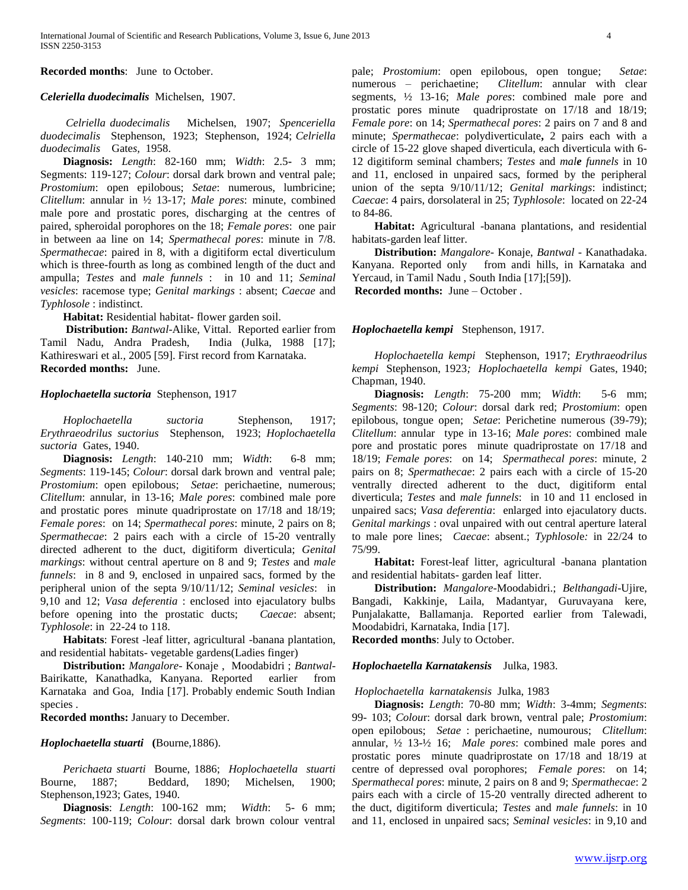## **Recorded months**: June to October.

#### *Celeriella duodecimalis*Michelsen, 1907.

 *Celriella duodecimalis* Michelsen, 1907; *Spenceriella duodecimalis* Stephenson, 1923; Stephenson, 1924; *Celriella duodecimalis* Gate*s,* 1958.

 **Diagnosis:** *Length*: 82-160 mm; *Width*: 2.5**-** 3 mm; Segments: 119-127; *Colour*: dorsal dark brown and ventral pale; *Prostomium*: open epilobous; *Setae*: numerous, lumbricine; *Clitellum*: annular in ½ 13-17; *Male pores*: minute, combined male pore and prostatic pores, discharging at the centres of paired, spheroidal porophores on the 18; *Female pores*: one pair in between aa line on 14; *Spermathecal pores*: minute in 7/8. *Spermathecae*: paired in 8, with a digitiform ectal diverticulum which is three-fourth as long as combined length of the duct and ampulla; *Testes* and *male funnels* : in 10 and 11; *Seminal vesicles*: racemose type; *Genital markings* : absent; *Caecae* and *Typhlosole* : indistinct.

**Habitat:** Residential habitat- flower garden soil.

 **Distribution:** *Bantwal*-Alike, Vittal. Reported earlier from Tamil Nadu, Andra Pradesh, India (Julka, 1988 [17]; Kathireswari et al*.*, 2005 [59]. First record from Karnataka. **Recorded months:** June.

## *Hoplochaetella suctoria*Stephenson, 1917

 *Hoplochaetella suctoria* Stephenson, 1917; *Erythraeodrilus suctorius* Stephenson, 1923; *Hoplochaetella suctoria* Gates, 1940.

 **Diagnosis:** *Length*: 140-210 mm; *Width*: 6-8 mm; *Segments*: 119-145; *Colour*: dorsal dark brown and ventral pale; *Prostomium*: open epilobous; *Setae*: perichaetine, numerous; *Clitellum*: annular, in 13-16; *Male pores*: combined male pore and prostatic pores minute quadriprostate on 17/18 and 18/19; *Female pores*: on 14; *Spermathecal pores*: minute, 2 pairs on 8; *Spermathecae*: 2 pairs each with a circle of 15-20 ventrally directed adherent to the duct, digitiform diverticula; *Genital markings*: without central aperture on 8 and 9; *Testes* and *male funnels*: in 8 and 9, enclosed in unpaired sacs, formed by the peripheral union of the septa 9/10/11/12; *Seminal vesicles*: in 9,10 and 12; *Vasa deferentia* : enclosed into ejaculatory bulbs before opening into the prostatic ducts; *Caecae*: absent; *Typhlosole*: in 22-24 to 118.

 **Habitats**: Forest -leaf litter, agricultural -banana plantation, and residential habitats- vegetable gardens(Ladies finger)

 **Distribution:** *Mangalore*- Konaje , Moodabidri ; *Bantwal*-Bairikatte, Kanathadka, Kanyana. Reported earlier from Karnataka and Goa, India [17]. Probably endemic South Indian species .

**Recorded months:** January to December.

## *Hoplochaetella stuarti* **(**Bourne,1886).

 *Perichaeta stuarti* Bourne, 1886; *Hoplochaetella stuarti* Bourne, 1887;Beddard, 1890; Michelsen, 1900; Stephenson,1923; Gates, 1940.

 **Diagnosis**: *Length*: 100-162 mm; *Width*:5- 6 mm; *Segments*: 100-119; *Colour*: dorsal dark brown colour ventral pale; *Prostomium*: open epilobous, open tongue; *Setae*: numerous – perichaetine; *Clitellum*: annular with clear segments, ½ 13-16; *Male pores*: combined male pore and prostatic pores minute quadriprostate on 17/18 and 18/19; *Female pore*: on 14; *Spermathecal pores*: 2 pairs on 7 and 8 and minute; *Spermathecae*: polydiverticulate**,** 2 pairs each with a circle of 15-22 glove shaped diverticula, each diverticula with 6- 12 digitiform seminal chambers; *Testes* and *male funnels* in 10 and 11, enclosed in unpaired sacs, formed by the peripheral union of the septa 9/10/11/12; *Genital markings*: indistinct; *Caecae*: 4 pairs, dorsolateral in 25; *Typhlosole*: located on 22-24 to 84-86.

 **Habitat:** Agricultural -banana plantations, and residential habitats-garden leaf litter.

 **Distribution:** *Mangalore*- Konaje, *Bantwal* - Kanathadaka. Kanyana. Reported only from andi hills, in Karnataka and Yercaud, in Tamil Nadu , South India [17];[59]). **Recorded months:** June – October .

## *Hoplochaetella kempi*Stephenson, 1917.

 *Hoplochaetella kempi* Stephenson, 1917; *Erythraeodrilus kempi* Stephenson, 1923*; Hoplochaetella kempi* Gates, 1940; Chapman, 1940.

 **Diagnosis:** *Length*: 75-200 mm; *Width*: 5-6 mm; *Segments*: 98-120; *Colour*: dorsal dark red; *Prostomium*: open epilobous, tongue open; *Setae*: Perichetine numerous (39-79); *Clitellum*: annular type in 13-16; *Male pores*: combined male pore and prostatic pores minute quadriprostate on 17/18 and 18/19; *Female pores*: on 14; *Spermathecal pores*: minute, 2 pairs on 8; *Spermathecae*: 2 pairs each with a circle of 15-20 ventrally directed adherent to the duct, digitiform ental diverticula; *Testes* and *male funnels*: in 10 and 11 enclosed in unpaired sacs; *Vasa deferentia*: enlarged into ejaculatory ducts. *Genital markings* : oval unpaired with out central aperture lateral to male pore lines; *Caecae*: absent.; *Typhlosol*e*:* in 22/24 to 75/99.

 **Habitat:** Forest-leaf litter, agricultural -banana plantation and residential habitats- garden leaf litter.

 **Distribution:** *Mangalore*-Moodabidri.; *Belthangadi*-Ujire, Bangadi, Kakkinje, Laila, Madantyar, Guruvayana kere, Punjalakatte, Ballamanja. Reported earlier from Talewadi, Moodabidri, Karnataka, India [17].

**Recorded months**: July to October.

#### *Hoplochaetella Karnatakensis* Julka, 1983.

*Hoplochaetella karnatakensis* Julka, 1983

 **Diagnosis:** *Length*: 70-80 mm; *Width*: 3-4mm; *Segments*: 99- 103; *Colou*r: dorsal dark brown, ventral pale; *Prostomium*: open epilobous; *Setae* : perichaetine*,* numourous; *Clitellum*: annular, ½ 13-½ 16; *Male pores*: combined male pores and prostatic pores minute quadriprostate on 17/18 and 18/19 at centre of depressed oval porophores; *Female pores*: on 14; *Spermathecal pores*: minute, 2 pairs on 8 and 9; *Spermathecae*: 2 pairs each with a circle of 15-20 ventrally directed adherent to the duct, digitiform diverticula; *Testes* and *male funnels*: in 10 and 11, enclosed in unpaired sacs; *Seminal vesicles*: in 9,10 and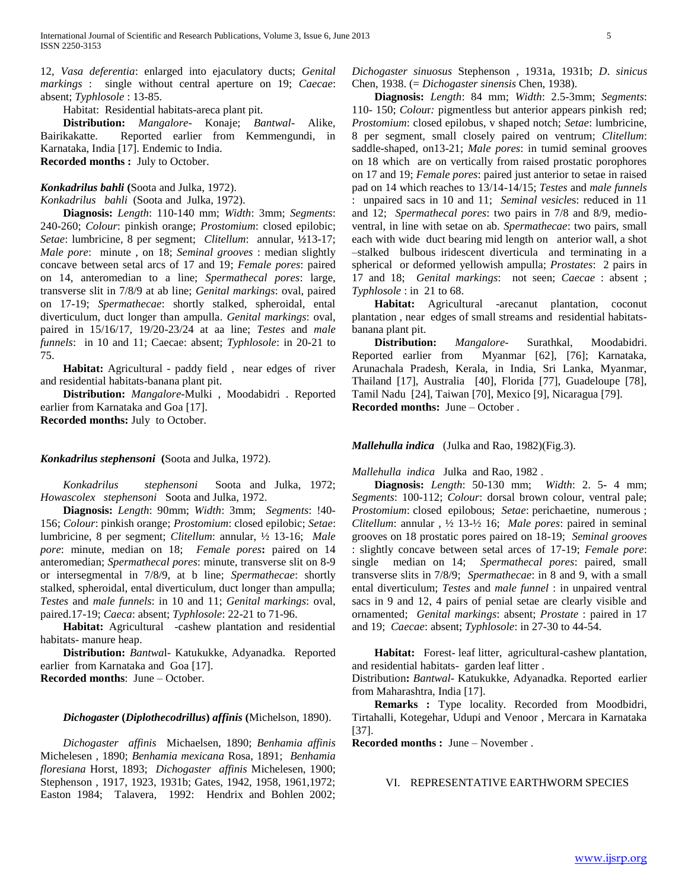12, *Vasa deferentia*: enlarged into ejaculatory ducts; *Genital markings* : single without central aperture on 19; *Caecae*: absent; *Typhlosole* : 13-85.

Habitat: Residential habitats-areca plant pit.

 **Distribution:** *Mangalore*- Konaje; *Bantwal*- Alike, Bairikakatte. Reported earlier from Kemmengundi, in Karnataka, India [17]. Endemic to India. **Recorded months :** July to October.

# *Konkadrilus bahli* **(**Soota and Julka, 1972).

*Konkadrilus bahli* (Soota and Julka, 1972).

 **Diagnosis:** *Length*: 110-140 mm; *Width*: 3mm; *Segments*: 240-260; *Colour*: pinkish orange; *Prostomium*: closed epilobic; *Setae*: lumbricine, 8 per segment; *Clitellum*: annular*,* **½**13-17; *Male pore*: minute , on 18; *Seminal grooves* : median slightly concave between setal arcs of 17 and 19; *Female pores*: paired on 14, anteromedian to a line; *Spermathecal pores*: large, transverse slit in 7/8/9 at ab line; *Genital markings*: oval, paired on 17-19; *Spermathecae*: shortly stalked, spheroidal, ental diverticulum, duct longer than ampulla. *Genital markings*: oval, paired in 15/16/17, 19/20-23/24 at aa line; *Testes* and *male funnels*: in 10 and 11; Caecae: absent; *Typhlosole*: in 20-21 to 75.

 **Habitat:** Agricultural - paddy field , near edges of river and residential habitats-banana plant pit.

 **Distribution:** *Mangalore*-Mulki , Moodabidri . Reported earlier from Karnataka and Goa [17]. **Recorded months:** July to October.

*Konkadrilus stephensoni* **(**Soota and Julka, 1972).

 *Konkadrilus stephensoni* Soota and Julka, 1972; *Howascolex stephensoni* Soota and Julka, 1972.

 **Diagnosis:** *Length*: 90mm; *Width*: 3mm; *Segments*: !40- 156; *Colour*: pinkish orange; *Prostomium*: closed epilobic; *Setae*: lumbricine, 8 per segment; *Clitellum*: annular, ½ 13-16; *Male pore*: minute, median on 18; *Female pores***:** paired on 14 anteromedian; *Spermathecal pores*: minute, transverse slit on 8-9 or intersegmental in 7/8/9, at b line; *Spermathecae*: shortly stalked, spheroidal, ental diverticulum, duct longer than ampulla; *Testes* and *male funnels*: in 10 and 11; *Genital markings*: oval, paired.17-19; *Caeca*: absent; *Typhlosole*: 22-21 to 71-96.

 **Habitat:** Agricultural -cashew plantation and residential habitats- manure heap.

 **Distribution:** *Bantwa*l- Katukukke, Adyanadka. Reported earlier from Karnataka and Goa [17]. **Recorded months**: June – October.

## *Dichogaster* **(***Diplothecodrillus***)** *affinis* **(**Michelson, 1890).

 *Dichogaster affinis* Michaelsen, 1890; *Benhamia affinis* Michelesen , 1890; *Benhamia mexicana* Rosa, 1891; *Benhamia floresiana* Horst, 1893; *Dichogaster affinis* Michelesen, 1900; Stephenson , 1917, 1923, 1931b; Gates, 1942, 1958, 1961,1972; Easton 1984; Talavera, 1992: Hendrix and Bohlen 2002;

*Dichogaster sinuosus* Stephenson , 1931a, 1931b; *D*. *sinicus*  Chen, 1938. (= *Dichogaster sinensis* Chen, 1938).

 **Diagnosis:** *Length*: 84 mm; *Width*: 2.5-3mm; *Segments*: 110- 150; *Colou*r*:* pigmentless but anterior appears pinkish red; *Prostomium*: closed epilobus, v shaped notch; *Setae*: lumbricine, 8 per segment, small closely paired on ventrum; *Clitellum*: saddle-shaped, on13-21; *Male pores*: in tumid seminal grooves on 18 which are on vertically from raised prostatic porophores on 17 and 19; *Female pores*: paired just anterior to setae in raised pad on 14 which reaches to 13/14-14/15; *Testes* and *male funnels* : unpaired sacs in 10 and 11; *Seminal vesicle*s: reduced in 11 and 12; *Spermathecal pores*: two pairs in 7/8 and 8/9, medioventral, in line with setae on ab. *Spermathecae*: two pairs, small each with wide duct bearing mid length on anterior wall, a shot –stalked bulbous iridescent diverticula and terminating in a spherical or deformed yellowish ampulla; *Prostates*: 2 pairs in 17 and 18; *Genital markings*: not seen; *Caecae* : absent ; *Typhlosole* : in 21 to 68.

 **Habitat:** Agricultural -arecanut plantation, coconut plantation , near edges of small streams and residential habitatsbanana plant pit.

 **Distribution:** *Mangalore*- Surathkal, Moodabidri. Reported earlier from Myanmar [62], [76]; Karnataka, Arunachala Pradesh, Kerala, in India, Sri Lanka, Myanmar, Thailand [17], Australia [40], Florida [77], Guadeloupe [78], Tamil Nadu [24], Taiwan [70], Mexico [9], Nicaragua [79]. **Recorded months:** June – October .

*Mallehulla indica* (Julka and Rao, 1982)(Fig.3).

*Mallehulla indica* Julka and Rao, 1982 .

 **Diagnosis:** *Length*: 50-130 mm; *Width*: 2. 5**-** 4 mm; *Segments*: 100-112; *Colour*: dorsal brown colour, ventral pale; *Prostomium*: closed epilobous; *Setae*: perichaetine, numerous ; *Clitellum*: annular , ½ 13-½ 16; *Male pores*: paired in seminal grooves on 18 prostatic pores paired on 18-19; *Seminal grooves* : slightly concave between setal arces of 17-19; *Female pore*: single median on 14; *Spermathecal pores*: paired, small transverse slits in 7/8/9; *Spermathecae*: in 8 and 9, with a small ental diverticulum; *Testes* and *male funnel* : in unpaired ventral sacs in 9 and 12, 4 pairs of penial setae are clearly visible and ornamented; *Genital markings*: absent; *Prostate* : paired in 17 and 19; *Caecae*: absent; *Typhlosole*: in 27-30 to 44-54.

 **Habitat:** Forest- leaf litter, agricultural-cashew plantation, and residential habitats- garden leaf litter .

Distribution**:** *Bantwal-* Katukukke, Adyanadka. Reported earlier from Maharashtra, India [17].

 **Remarks :** Type locality. Recorded from Moodbidri, Tirtahalli, Kotegehar, Udupi and Venoor , Mercara in Karnataka [37].

**Recorded months :** June – November .

#### VI. REPRESENTATIVE EARTHWORM SPECIES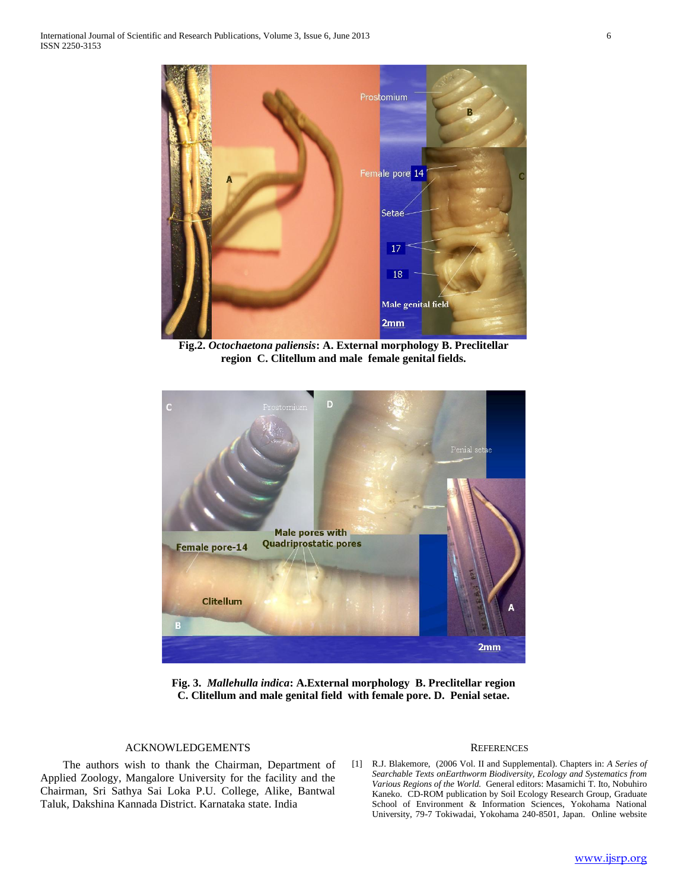

**Fig.2.** *Octochaetona paliensis***: A. External morphology B. Preclitellar region C. Clitellum and male female genital fields.**



**Fig. 3.** *Mallehulla indica***: A.External morphology B. Preclitellar region C. Clitellum and male genital field with female pore. D. Penial setae.**

# ACKNOWLEDGEMENTS

 The authors wish to thank the Chairman, Department of Applied Zoology, Mangalore University for the facility and the Chairman, Sri Sathya Sai Loka P.U. College, Alike, Bantwal Taluk, Dakshina Kannada District. Karnataka state. India

#### **REFERENCES**

[1] R.J. Blakemore, (2006 Vol. II and Supplemental). Chapters in: *A Series of Searchable Texts onEarthworm Biodiversity, Ecology and Systematics from Various Regions of the World.* General editors: Masamichi T. Ito, Nobuhiro Kaneko. CD-ROM publication by Soil Ecology Research Group, Graduate School of Environment & Information Sciences, Yokohama National University, 79-7 Tokiwadai, Yokohama 240-8501, Japan. Online website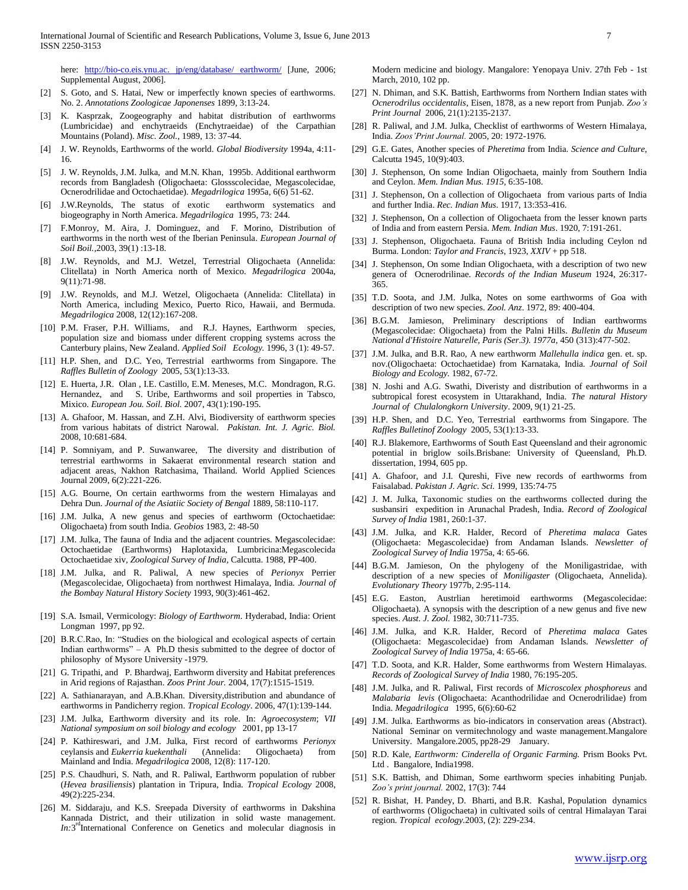here: http://bio-co.eis.ynu.ac. jp/eng/database/ earthworm/ [June, 2006; Supplemental August, 2006].

- [2] S. Goto, and S. Hatai, New or imperfectly known species of earthworms. No. 2. *Annotations Zoologicae Japonenses* 1899, 3:13-24.
- [3] K. Kasprzak, Zoogeography and habitat distribution of earthworms (Lumbricidae) and enchytraeids (Enchytraeidae) of the Carpathian Mountains (Poland). *Misc. Zool.,* 1989, 13: 37-44.
- [4] J. W. Reynolds, Earthworms of the world. *Global Biodiversity* 1994a, 4:11- 16.
- [5] J. W. Reynolds, J.M. Julka, and M.N. Khan, 1995b. Additional earthworm records from Bangladesh (Oligochaeta: Glossscolecidae, Megascolecidae, Ocnerodrilidae and Octochaetidae). *Megadrilogica* 1995a, 6(6) 51-62.
- [6] J.W.Reynolds, The status of exotic earthworm systematics and biogeography in North America. *Megadrilogica* 1995, 73: 244.
- [7] F.Monroy, M. Aira, J. Dominguez, and F. Morino, Distribution of earthworms in the north west of the Iberian Peninsula. *European Journal of Soil Boil.,*2003, 39(1) :13-18.
- [8] J.W. Reynolds, and M.J. Wetzel, Terrestrial Oligochaeta (Annelida: Clitellata) in North America north of Mexico. *Megadrilogica* 2004a, 9(11):71-98.
- [9] J.W. Reynolds, and M.J. Wetzel, Oligochaeta (Annelida: Clitellata) in North America, including Mexico, Puerto Rico, Hawaii, and Bermuda. *Megadrilogica* 2008, 12(12):167-208.
- [10] P.M. Fraser, P.H. Williams, and R.J. Haynes, Earthworm species, population size and biomass under different cropping systems across the Canterbury plains, New Zealand. *Applied Soil Ecology.* 1996, 3 (1): 49-57.
- [11] H.P. Shen, and D.C. Yeo, Terrestrial earthworms from Singapore. The *Raffles Bulletin of Zoology* 2005, 53(1):13-33.
- [12] E. Huerta, J.R. Olan , I.E. Castillo, E.M. Meneses, M.C. Mondragon, R.G. Hernandez, and S. Uribe, Earthworms and soil properties in Tabsco, Mixico. *European Jou. Soil. Biol.* 2007, 43(1):190-195.
- [13] A. Ghafoor, M. Hassan, and Z.H. Alvi, Biodiversity of earthworm species from various habitats of district Narowal. *Pakistan. Int. J. Agric. Biol.* 2008, 10:681-684.
- [14] P. Somniyam, and P. Suwanwaree, The diversity and distribution of terrestrial earthworms in Sakaerat environmental research station and adjacent areas, Nakhon Ratchasima, Thailand. World Applied Sciences Journal 2009, 6(2):221-226.
- [15] A.G. Bourne, On certain earthworms from the western Himalayas and Dehra Dun. *Journal of the Asiatiic Society of Bengal* 1889, 58:110-117.
- [16] J.M. Julka, A new genus and species of earthworm (Octochaetidae: Oligochaeta) from south India. *Geobios* 1983, 2: 48-50
- [17] J.M. Julka, The fauna of India and the adjacent countries. Megascolecidae: Octochaetidae (Earthworms) Haplotaxida, Lumbricina:Megascolecida Octochaetidae xiv, *Zoological Survey of India*, Calcutta. 1988, PP-400.
- [18] J.M. Julka, and R. Paliwal, A new species of *Perionyx* Perrier (Megascolecidae, Oligochaeta) from northwest Himalaya, India. *Journal of the Bombay Natural History Society* 1993, 90(3):461-462.
- [19] S.A. Ismail, Vermicology: *Biology of Earthworm*. Hyderabad, India: Orient Longman 1997, pp 92.
- [20] B.R.C.Rao, In: "Studies on the biological and ecological aspects of certain Indian earthworms" – A Ph.D thesis submitted to the degree of doctor of philosophy of Mysore University -1979.
- [21] G. Tripathi, and P. Bhardwaj, Earthworm diversity and Habitat preferences in Arid regions of Rajasthan. *Zoos Print Jour.* 2004, 17(7):1515-1519.
- [22] A. Sathianarayan, and A.B.Khan. Diversity,distribution and abundance of earthworms in Pandicherry region. *Tropical Ecology*. 2006, 47(1):139-144.
- [23] J.M. Julka, Earthworm diversity and its role. In: *Agroecosystem*; *VII National symposium on soil biology and ecology* 2001, pp 13-17
- [24] P. Kathireswari, and J.M. Julka, First record of earthworms *Perionyx*  ceylansis and *Eukerria kuekenthali* (Annelida: Oligochaeta) from Mainland and India. *Megadrilogica* 2008, 12(8): 117-120.
- [25] P.S. Chaudhuri, S. Nath, and R. Paliwal, Earthworm population of rubber (*Hevea brasiliensis*) plantation in Tripura, India. *Tropical Ecology* 2008, 49(2):225-234.
- [26] M. Siddaraju, and K.S. Sreepada Diversity of earthworms in Dakshina Kannada District, and their utilization in solid waste management. *In:3*<sup><sup>rd</sup></sup>International Conference on Genetics and molecular diagnosis in

Modern medicine and biology. Mangalore: Yenopaya Univ. 27th Feb - 1st March, 2010, 102 pp.

- [27] N. Dhiman, and S.K. Battish, Earthworms from Northern Indian states with *Ocnerodrilus occidentalis*, Eisen, 1878, as a new report from Punjab. *Zoo's Print Journal* 2006, 21(1):2135-2137.
- [28] R. Paliwal, and J.M. Julka, Checklist of earthworms of Western Himalaya, India. *Zoos'Print Journal.* 2005, 20: 1972-1976.
- [29] G.E. Gates, Another species of *Pheretima* from India. *Science and Culture,*  Calcutta 1945, 10(9):403.
- [30] J. Stephenson, On some Indian Oligochaeta, mainly from Southern India and Ceylon. *Mem. Indian Mus. 1915,* 6:35-108.
- [31] J. Stephenson, On a collection of Oligochaeta from various parts of India and further India. *Rec. Indian Mus*. 1917, 13:353-416.
- [32] J. Stephenson, On a collection of Oligochaeta from the lesser known parts of India and from eastern Persia. *Mem. Indian Mus*. 1920, 7:191-261.
- [33] J. Stephenson, Oligochaeta. Fauna of British India including Ceylon nd Burma. London: *Taylor and Francis*, 1923, *XXIV* + pp 518.
- [34] J. Stephenson, On some Indian Oligochaeta, with a description of two new genera of Ocnerodrilinae. *Records of the Indian Museum* 1924, 26:317- 365.
- [35] T.D. Soota, and J.M. Julka, Notes on some earthworms of Goa with description of two new species. *Zool. Anz*. 1972, 89: 400-404.
- [36] B.G.M. Jamieson, Preliminary descriptions of Indian earthworms (Megascolecidae: Oligochaeta) from the Palni Hills. *Bulletin du Museum National d'Histoire Naturelle, Paris (Ser.3). 1977a,* 450 (313):477-502.
- [37] J.M. Julka, and B.R. Rao, A new earthworm *Mallehulla indica* gen. et. sp. nov.(Oligochaeta: Octochaetidae) from Karnataka, India. *Journal of Soil Biology and Ecology.* 1982, 67-72.
- [38] N. Joshi and A.G. Swathi, Diveristy and distribution of earthworms in a subtropical forest ecosystem in Uttarakhand, India. *The natural History Journal of Chulalongkorn University*. 2009, 9(1) 21-25.
- [39] H.P. Shen, and D.C. Yeo, Terrestrial earthworms from Singapore. The *Raffles Bulletinof Zoology* 2005, 53(1):13-33.
- [40] R.J. Blakemore, Earthworms of South East Queensland and their agronomic potential in briglow soils.Brisbane: University of Queensland, Ph.D. dissertation, 1994, 605 pp.
- [41] A. Ghafoor, and J.I. Qureshi, Five new records of earthworms from Faisalabad. *Pakistan J. Agric. Sci.* 1999, 135:74-75
- [42] J. M. Julka, Taxonomic studies on the earthworms collected during the susbansiri expedition in Arunachal Pradesh, India. *Record of Zoological Survey of India* 1981, 260:1-37.
- [43] J.M. Julka, and K.R. Halder, Record of *Pheretima malaca* Gates (Oligochaeta: Megascolecidae) from Andaman Islands. *Newsletter of Zoological Survey of India* 1975a, 4: 65-66.
- [44] B.G.M. Jamieson, On the phylogeny of the Moniligastridae, with description of a new species of *Moniligaster* (Oligochaeta, Annelida). *Evolutionary Theory* 1977b, 2:95-114.
- [45] E.G. Easton, Austrlian heretimoid earthworms (Megascolecidae: Oligochaeta). A synopsis with the description of a new genus and five new species. *Aust. J. Zool.* 1982, 30:711-735.
- [46] J.M. Julka, and K.R. Halder, Record of *Pheretima malaca* Gates (Oligochaeta: Megascolecidae) from Andaman Islands. *Newsletter of Zoological Survey of India* 1975a, 4: 65-66.
- [47] T.D. Soota, and K.R. Halder, Some earthworms from Western Himalayas. *Records of Zoological Survey of India* 1980, 76:195-205.
- [48] J.M. Julka, and R. Paliwal, First records of *Microscolex phosphoreus* and *Malabaria levis* (Oligochaeta: Acanthodrilidae and Ocnerodrilidae) from India. *Megadrilogica* 1995, 6(6):60-62
- [49] J.M. Julka. Earthworms as bio-indicators in conservation areas (Abstract). National Seminar on vermitechnology and waste management.Mangalore University. Mangalore.2005, pp28-29 January.
- [50] R.D. Kale, *Earthworm: Cinderella of Organic Farming.* Prism Books Pvt. Ltd . Bangalore, India1998.
- [51] S.K. Battish, and Dhiman, Some earthworm species inhabiting Punjab. *Zoo's print journal.* 2002, 17(3): 744
- [52] R. Bishat, H. Pandey, D. Bharti, and B.R. Kashal, Population dynamics of earthworms (Oligochaeta) in cultivated soils of central Himalayan Tarai region*. Tropical ecology.*2003, (2): 229-234.